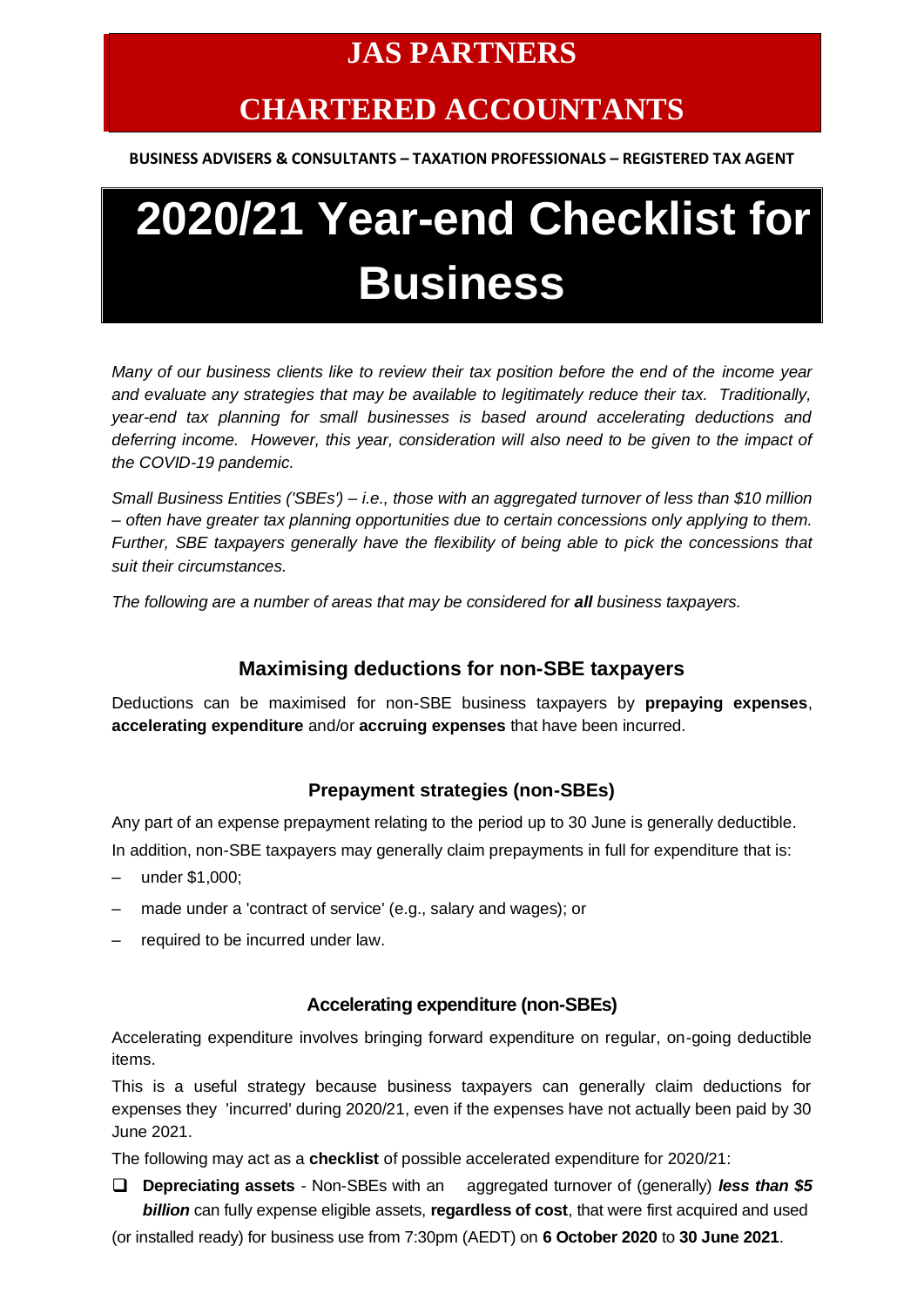# **JAS PARTNERS**

# **CHARTERED ACCOUNTANTS**

**BUSINESS ADVISERS & CONSULTANTS – TAXATION PROFESSIONALS – REGISTERED TAX AGENT**

# **2020/21 Year-end Checklist for Business**

*Many of our business clients like to review their tax position before the end of the income year and evaluate any strategies that may be available to legitimately reduce their tax. Traditionally, year-end tax planning for small businesses is based around accelerating deductions and deferring income. However, this year, consideration will also need to be given to the impact of the COVID-19 pandemic.*

*Small Business Entities ('SBEs') – i.e., those with an aggregated turnover of less than \$10 million – often have greater tax planning opportunities due to certain concessions only applying to them. Further, SBE taxpayers generally have the flexibility of being able to pick the concessions that suit their circumstances.* 

*The following are a number of areas that may be considered for all business taxpayers.*

# **Maximising deductions for non-SBE taxpayers**

Deductions can be maximised for non-SBE business taxpayers by **prepaying expenses**, **accelerating expenditure** and/or **accruing expenses** that have been incurred.

#### **Prepayment strategies (non-SBEs)**

Any part of an expense prepayment relating to the period up to 30 June is generally deductible. In addition, non-SBE taxpayers may generally claim prepayments in full for expenditure that is:

- under \$1,000;
- made under a 'contract of service' (e.g., salary and wages); or
- required to be incurred under law.

#### **Accelerating expenditure (non-SBEs)**

Accelerating expenditure involves bringing forward expenditure on regular, on-going deductible items.

This is a useful strategy because business taxpayers can generally claim deductions for expenses they 'incurred' during 2020/21, even if the expenses have not actually been paid by 30 June 2021.

The following may act as a **checklist** of possible accelerated expenditure for 2020/21:

❑ **Depreciating assets** - Non-SBEs with an aggregated turnover of (generally) *less than \$5 billion* can fully expense eligible assets, **regardless of cost**, that were first acquired and used

(or installed ready) for business use from 7:30pm (AEDT) on **6 October 2020** to **30 June 2021**.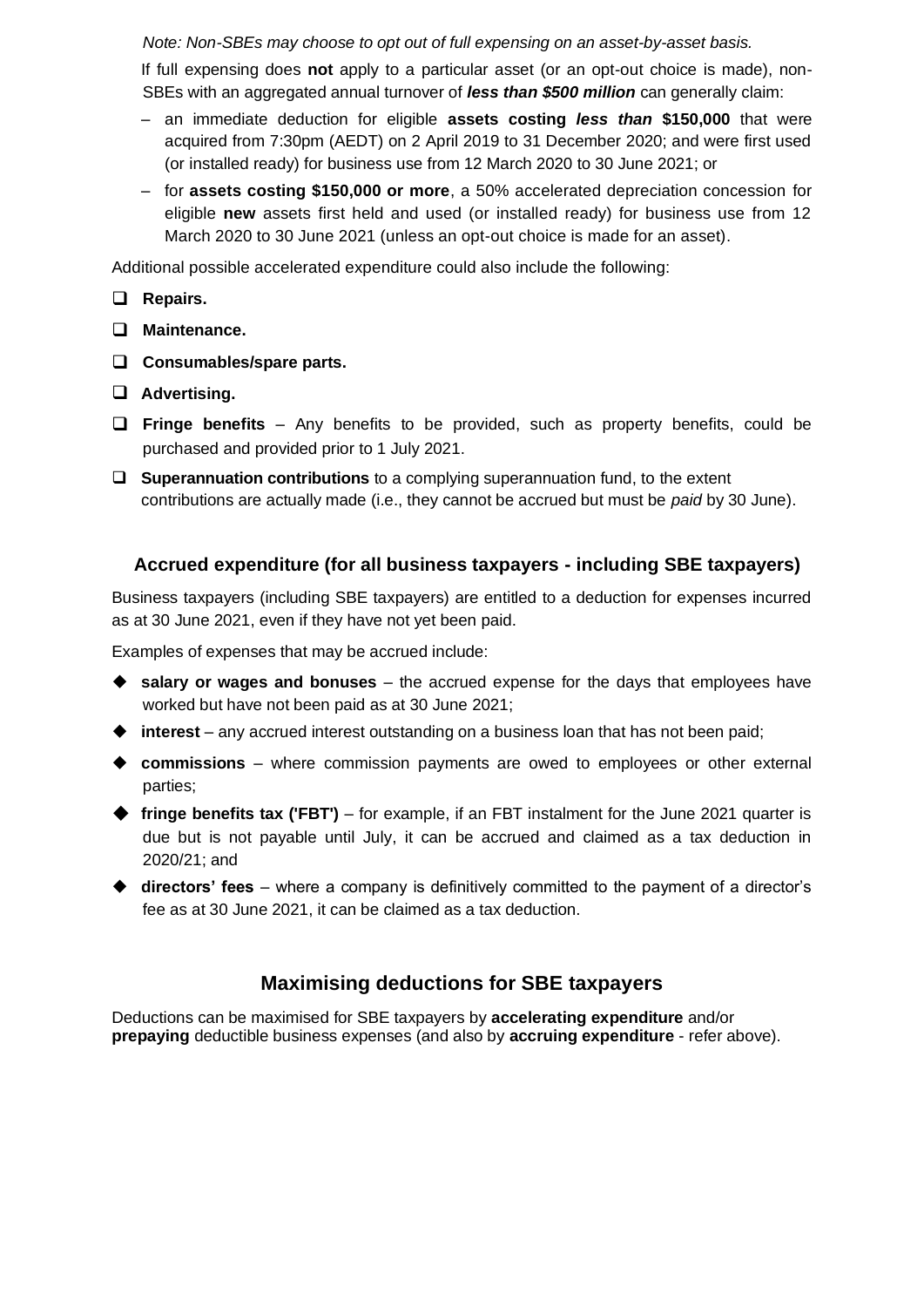*Note: Non-SBEs may choose to opt out of full expensing on an asset-by-asset basis.*

If full expensing does **not** apply to a particular asset (or an opt-out choice is made), non-SBEs with an aggregated annual turnover of *less than \$500 million* can generally claim:

- an immediate deduction for eligible **assets costing** *less than* **\$150,000** that were acquired from 7:30pm (AEDT) on 2 April 2019 to 31 December 2020; and were first used (or installed ready) for business use from 12 March 2020 to 30 June 2021; or
- for **assets costing \$150,000 or more**, a 50% accelerated depreciation concession for eligible **new** assets first held and used (or installed ready) for business use from 12 March 2020 to 30 June 2021 (unless an opt-out choice is made for an asset).

Additional possible accelerated expenditure could also include the following:

- ❑ **Repairs.**
- ❑ **Maintenance.**
- ❑ **Consumables/spare parts.**
- ❑ **Advertising.**
- ❑ **Fringe benefits**  Any benefits to be provided, such as property benefits, could be purchased and provided prior to 1 July 2021.
- ❑ **Superannuation contributions** to a complying superannuation fund, to the extent contributions are actually made (i.e., they cannot be accrued but must be *paid* by 30 June).

#### **Accrued expenditure (for all business taxpayers - including SBE taxpayers)**

Business taxpayers (including SBE taxpayers) are entitled to a deduction for expenses incurred as at 30 June 2021, even if they have not yet been paid.

Examples of expenses that may be accrued include:

- ◆ **salary or wages and bonuses**  the accrued expense for the days that employees have worked but have not been paid as at 30 June 2021;
- ◆ **interest** any accrued interest outstanding on a business loan that has not been paid;
- ◆ **commissions** where commission payments are owed to employees or other external parties;
- ◆ **fringe benefits tax ('FBT')**  for example, if an FBT instalment for the June 2021 quarter is due but is not payable until July, it can be accrued and claimed as a tax deduction in 2020/21; and
- ◆ **directors' fees**  where a company is definitively committed to the payment of a director's fee as at 30 June 2021, it can be claimed as a tax deduction.

# **Maximising deductions for SBE taxpayers**

Deductions can be maximised for SBE taxpayers by **accelerating expenditure** and/or **prepaying** deductible business expenses (and also by **accruing expenditure** - refer above).